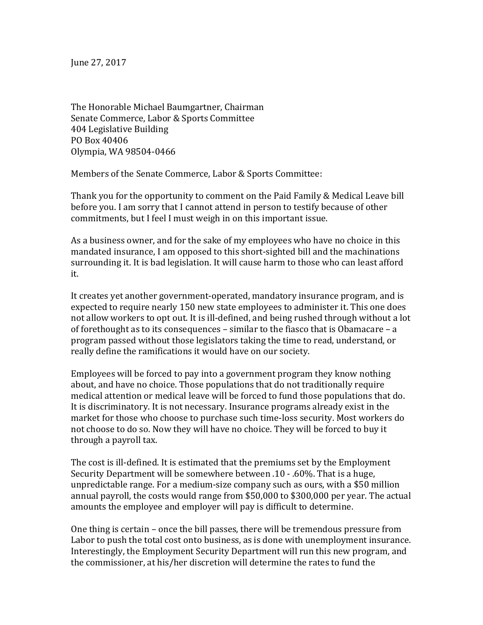June 27, 2017

The Honorable Michael Baumgartner, Chairman Senate Commerce, Labor & Sports Committee 404 Legislative Building PO Box 40406 Olympia, WA 98504-0466

Members of the Senate Commerce, Labor & Sports Committee:

Thank you for the opportunity to comment on the Paid Family & Medical Leave bill before you. I am sorry that I cannot attend in person to testify because of other commitments, but I feel I must weigh in on this important issue.

As a business owner, and for the sake of my employees who have no choice in this mandated insurance, I am opposed to this short-sighted bill and the machinations surrounding it. It is bad legislation. It will cause harm to those who can least afford it.

It creates yet another government-operated, mandatory insurance program, and is expected to require nearly 150 new state employees to administer it. This one does not allow workers to opt out. It is ill-defined, and being rushed through without a lot of forethought as to its consequences – similar to the fiasco that is Obamacare – a program passed without those legislators taking the time to read, understand, or really define the ramifications it would have on our society.

Employees will be forced to pay into a government program they know nothing about, and have no choice. Those populations that do not traditionally require medical attention or medical leave will be forced to fund those populations that do. It is discriminatory. It is not necessary. Insurance programs already exist in the market for those who choose to purchase such time-loss security. Most workers do not choose to do so. Now they will have no choice. They will be forced to buy it through a payroll tax.

The cost is ill-defined. It is estimated that the premiums set by the Employment Security Department will be somewhere between .10 - .60%. That is a huge, unpredictable range. For a medium-size company such as ours, with a \$50 million annual payroll, the costs would range from \$50,000 to \$300,000 per year. The actual amounts the employee and employer will pay is difficult to determine.

One thing is certain – once the bill passes, there will be tremendous pressure from Labor to push the total cost onto business, as is done with unemployment insurance. Interestingly, the Employment Security Department will run this new program, and the commissioner, at his/her discretion will determine the rates to fund the